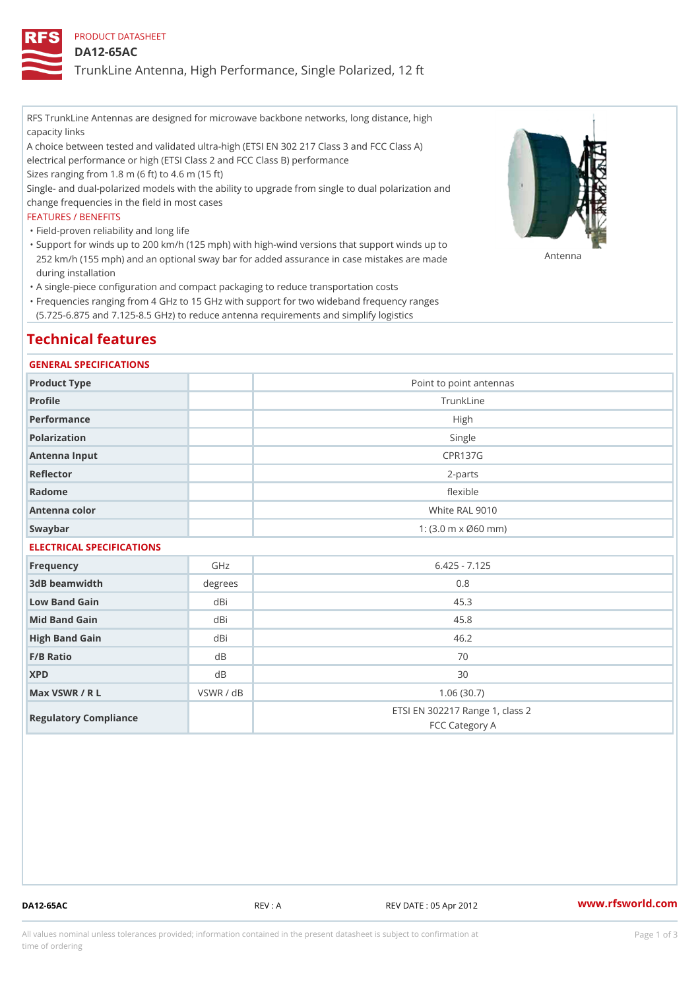PRODUCT DATASHEET

DA12-65AC

TrunkLine Antenna, High Performance, Single Polarized, 12 ft

RFS TrunkLine Antennas are designed for microwave backbone networks, long distance, high capacity links

A choice between tested and validated ultra-high (ETSI EN 302 217 Class 3 and FCC Class A) electrical performance or high (ETSI Class 2 and FCC Class B) performance

Sizes ranging from 1.8 m (6 ft) to 4.6 m (15 ft)

Single- and dual-polarized models with the ability to upgrade from single to dual polarization and change frequencies in the field in most cases

### FEATURES / BENEFITS

"Field-proven reliability and long life

- Support for winds up to 200 km/h (125 mph) with high-wind versions that support winds up to " 252 km/h (155 mph) and an optional sway bar for added assurance in case m S # \$ R & B are made during installation
- "A single-piece configuration and compact packaging to reduce transportation costs
- Frequencies ranging from 4 GHz to 15 GHz with support for two wideband frequency ranges " (5.725-6.875 and 7.125-8.5 GHz) to reduce antenna requirements and simplify logistics

# Technical features

### GENERAL SPECIFICATIONS

| Product Type  | Point to point antennas                                 |  |  |  |
|---------------|---------------------------------------------------------|--|--|--|
| Profile       | TrunkLine                                               |  |  |  |
| Performance   | High                                                    |  |  |  |
| Polarization  | Single                                                  |  |  |  |
| Antenna Input | CPR137G                                                 |  |  |  |
| Reflector     | $2 - p$ arts                                            |  |  |  |
| Radome        | flexible                                                |  |  |  |
| Antenna color | White RAL 9010                                          |  |  |  |
| Swaybar       | 1: $(3.0 \, \text{m} \times \emptyset 60 \, \text{mm})$ |  |  |  |
|               |                                                         |  |  |  |

## ELECTRICAL SPECIFICATIONS

| Frequency             | GHz       | $6.425 - 7.125$                                   |
|-----------------------|-----------|---------------------------------------------------|
| 3dB beamwidth         | degrees   | 0.8                                               |
| Low Band Gain         | dBi       | 45.3                                              |
| Mid Band Gain         | dBi       | 45.8                                              |
| High Band Gain        | dBi       | 46.2                                              |
| $F/B$ Ratio           | d B       | 70                                                |
| <b>XPD</b>            | d B       | 30                                                |
| Max VSWR / R L        | VSWR / dB | 1.06(30.7)                                        |
| Regulatory Compliance |           | ETSI EN 302217 Range 1, class 2<br>FCC Category A |

DA12-65AC REV : A REV DATE : 05 Apr 2012 [www.](https://www.rfsworld.com)rfsworld.com

All values nominal unless tolerances provided; information contained in the present datasheet is subject to Pcapgeign mation time of ordering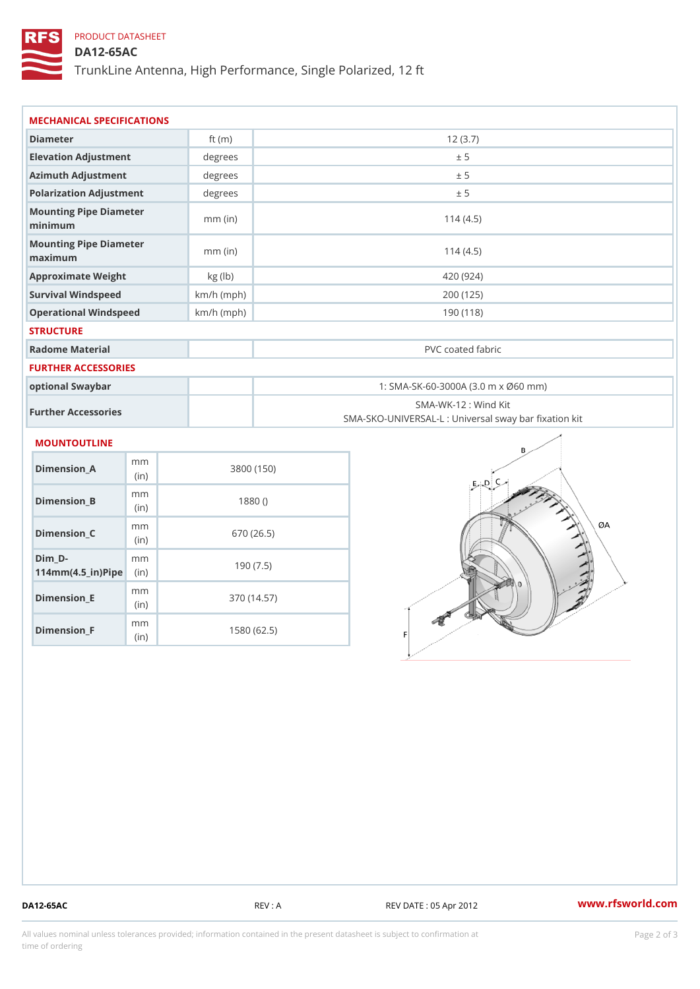## PRODUCT DATASHEET

DA12-65AC

TrunkLine Antenna, High Performance, Single Polarized, 12 ft

| MECHANICAL SPECIFICATIONS                                             |              |                                                                          |  |  |
|-----------------------------------------------------------------------|--------------|--------------------------------------------------------------------------|--|--|
| Diameter                                                              | ft $(m)$     | 12(3.7)                                                                  |  |  |
| Elevation Adjustment                                                  | $degree$ :   | ± 5                                                                      |  |  |
| Azimuth Adjustment                                                    | $degree$ :   | ± 5                                                                      |  |  |
| Polarization Adjustment                                               | $degree$ :   | ± 5                                                                      |  |  |
| Mounting Pipe Diameter<br>minima                                      | $mm$ (in)    | 114(4.5)                                                                 |  |  |
| Mounting Pipe Diameter<br>maximum                                     | $mm$ (in)    | 114(4.5)                                                                 |  |  |
| Approximate Weight                                                    | kg (1b)      | 420 (924)                                                                |  |  |
| Survival Windspeed                                                    | $km/h$ (mph) | 200 (125)                                                                |  |  |
| Operational Windspeed                                                 | $km/h$ (mph) | 190 (118)                                                                |  |  |
| <b>STRUCTURE</b>                                                      |              |                                                                          |  |  |
| Radome Material                                                       |              | PVC coated fabric                                                        |  |  |
| FURTHER ACCESSORIES                                                   |              |                                                                          |  |  |
| optional Swaybar                                                      |              | 1: SMA-SK-60-3000A (3.0 m x Ø60 mm)                                      |  |  |
| Further Accessories                                                   |              | SMA-WK-12: Wind Kit<br>SMA-SKO-UNIVERSAL-L : Universal sway bar fixation |  |  |
| MOUNTOUTLINE                                                          |              |                                                                          |  |  |
| m m<br>Dimension_A<br>(in)                                            |              | 3800 (150)                                                               |  |  |
| m m<br>$Dimension_B$<br>(in)                                          |              | 1880()                                                                   |  |  |
| m m<br>$Dimension_C$<br>(in)                                          |              | 670 (26.5)                                                               |  |  |
| $Dim_D - D -$<br>m m<br>$114$ m m (4.5 _ ir ) $\sqrt{$ iip $\sqrt{ }$ |              | 190(7.5)                                                                 |  |  |

Dimension\_F m<sub>m</sub> (in) 1580 (62.5)

m<sub>m</sub> (in)

Dimension\_E

370 (14.57)

DA12-65AC REV : A REV DATE : 05 Apr 2012 [www.](https://www.rfsworld.com)rfsworld.com